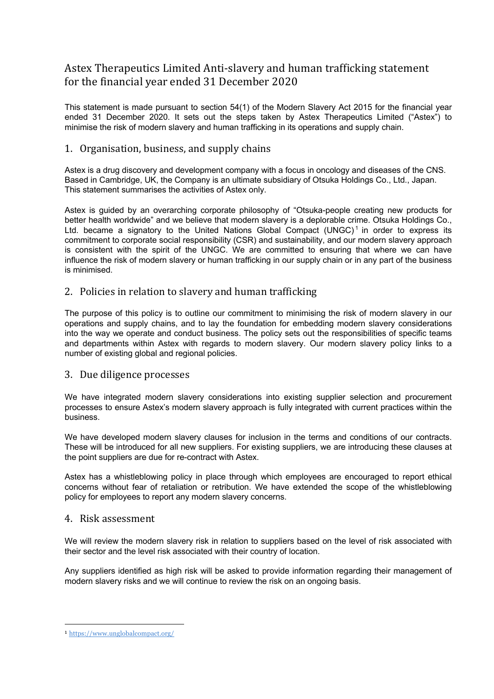# Astex Therapeutics Limited Anti-slavery and human trafficking statement for the financial year ended 31 December 2020

This statement is made pursuant to section 54(1) of the Modern Slavery Act 2015 for the financial year ended 31 December 2020. It sets out the steps taken by Astex Therapeutics Limited ("Astex") to minimise the risk of modern slavery and human trafficking in its operations and supply chain.

# 1. Organisation, business, and supply chains

Astex is a drug discovery and development company with a focus in oncology and diseases of the CNS. Based in Cambridge, UK, the Company is an ultimate subsidiary of Otsuka Holdings Co., Ltd., Japan. This statement summarises the activities of Astex only.

Astex is guided by an overarching corporate philosophy of "Otsuka-people creating new products for better health worldwide" and we believe that modern slavery is a deplorable crime. Otsuka Holdings Co., Ltd. became a signatory to the United Nations Global Compact  $(UNGC)^1$  in order to express its commitment to corporate social responsibility (CSR) and sustainability, and our modern slavery approach is consistent with the spirit of the UNGC. We are committed to ensuring that where we can have influence the risk of modern slavery or human trafficking in our supply chain or in any part of the business is minimised.

#### 2. Policies in relation to slavery and human trafficking

The purpose of this policy is to outline our commitment to minimising the risk of modern slavery in our operations and supply chains, and to lay the foundation for embedding modern slavery considerations into the way we operate and conduct business. The policy sets out the responsibilities of specific teams and departments within Astex with regards to modern slavery. Our modern slavery policy links to a number of existing global and regional policies.

## 3. Due diligence processes

We have integrated modern slavery considerations into existing supplier selection and procurement processes to ensure Astex's modern slavery approach is fully integrated with current practices within the business.

We have developed modern slavery clauses for inclusion in the terms and conditions of our contracts. These will be introduced for all new suppliers. For existing suppliers, we are introducing these clauses at the point suppliers are due for re-contract with Astex.

Astex has a whistleblowing policy in place through which employees are encouraged to report ethical concerns without fear of retaliation or retribution. We have extended the scope of the whistleblowing policy for employees to report any modern slavery concerns.

#### 4. Risk assessment

We will review the modern slavery risk in relation to suppliers based on the level of risk associated with their sector and the level risk associated with their country of location.

Any suppliers identified as high risk will be asked to provide information regarding their management of modern slavery risks and we will continue to review the risk on an ongoing basis.

<sup>1</sup> https://www.unglobalcompact.org/